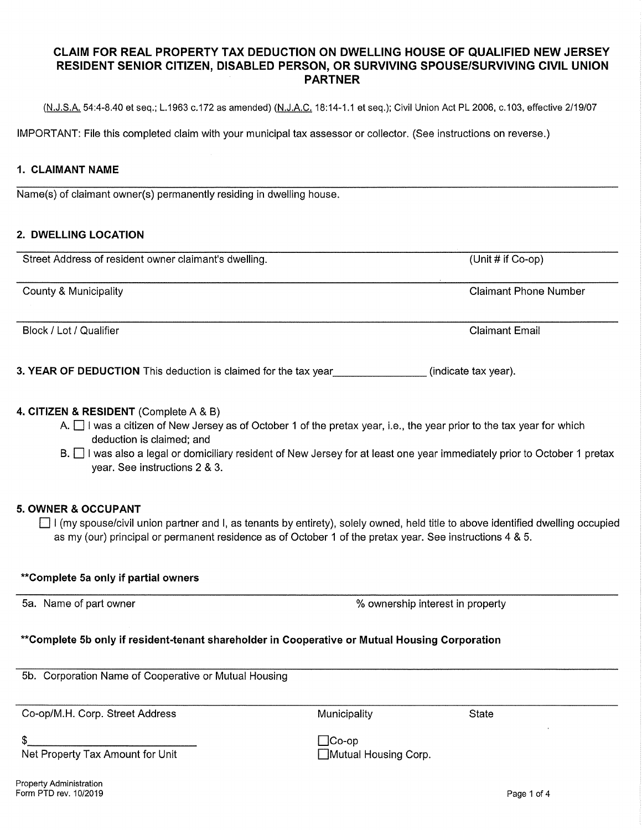# **CLAIM FOR REAL PROPERTY TAX DEDUCTION ON DWELLING HOUSE OF QUALIFIED NEW JERSEY RESIDENT SENIOR CITIZEN, DISABLED PERSON, OR SURVIVING SPOUSE/SURVIVING CIVIL UNION PARTNER**

(N.J.S.A. 54:4-8.40 et seq.; L.1963 c.172 as amended) (N.J.A.C. 18:14-1.1 et seq.); Civil Union Act PL 2006, c.103, effective 2/19/07

IMPORTANT: File this completed claim with your municipal tax assessor or collector. (See instructions on reverse.)

# **1. CLAIMANT NAME**

Name(s) of claimant owner(s) permanently residing in dwelling house.

### **2. DWELLING LOCATION**

| Street Address of resident owner claimant's dwelling.           | (Unit $#$ if Co-op)          |
|-----------------------------------------------------------------|------------------------------|
| County & Municipality                                           | <b>Claimant Phone Number</b> |
| Block / Lot / Qualifier                                         | <b>Claimant Email</b>        |
| 3. YEAR OF DEDUCTION This deduction is claimed for the tax year | (indicate tax year).         |

# **4. CITIZEN & RESIDENT** (Complete A & B)

- A.  $\Box$  I was a citizen of New Jersey as of October 1 of the pretax year, i.e., the year prior to the tax year for which deduction is claimed; and
- B.  $\Box$  I was also a legal or domiciliary resident of New Jersey for at least one year immediately prior to October 1 pretax year. See instructions 2 & 3.

## **5. OWNER & OCCUPANT**

 $\Box$  I (my spouse/civil union partner and I, as tenants by entirety), solely owned, held title to above identified dwelling occupied as my (our) principal or permanent residence as of October 1 of the pretax year. See instructions 4 & 5.

| **Complete 5a only if partial owners                                                           |                                      |              |  |
|------------------------------------------------------------------------------------------------|--------------------------------------|--------------|--|
| 5a. Name of part owner                                                                         | % ownership interest in property     |              |  |
| **Complete 5b only if resident-tenant shareholder in Cooperative or Mutual Housing Corporation |                                      |              |  |
| 5b. Corporation Name of Cooperative or Mutual Housing                                          |                                      |              |  |
| Co-op/M.H. Corp. Street Address                                                                | Municipality                         | <b>State</b> |  |
| Net Property Tax Amount for Unit                                                               | $\Box$ Co-op<br>Mutual Housing Corp. |              |  |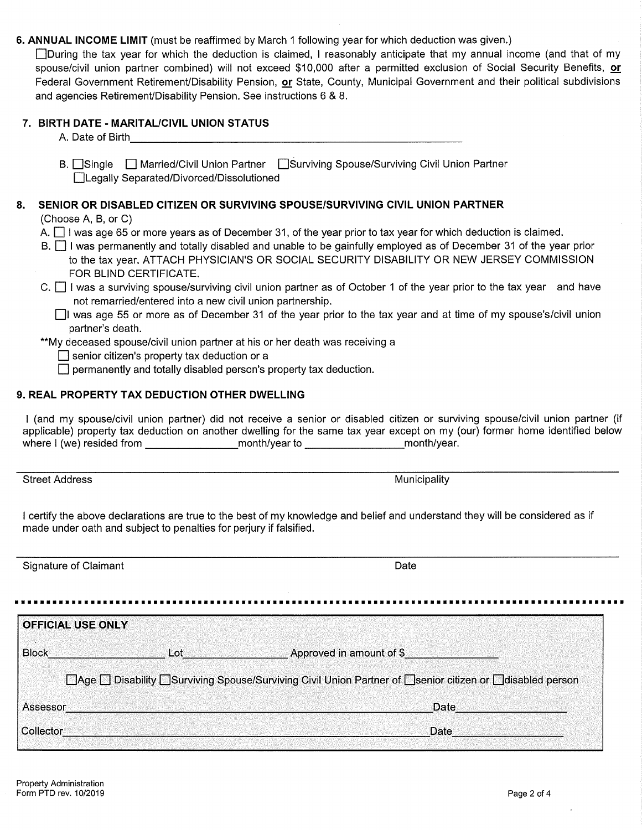**6. ANNUAL INCOME LIMIT** (must be reaffirmed by March 1 following year for which deduction was given.)

During the tax year for which the deduction is claimed, I reasonably anticipate that my annual income (and that of my spouse/civil union partner combined) will not exceed \$10,000 after a permitted exclusion of Social Security Benefits, or Federal Government Retirement/Disability Pension, **or** State, County, Municipal Government and their political subdivisions and agencies Retirement/Disability Pension. See instructions 6 & 8.

# **7. BIRTH DATE - MARITAL/CIVIL UNION STATUS**

A. Date of Birth **Example 20** and  $\alpha$ 

B. Single **D** Married/Civil Union Partner **Conserviving Spouse/Surviving Civil Union Partner** Legally Separated/Divorced/Dissolutioned

# **8. SENIOR OR DISABLED CITIZEN OR SURVIVING SPOUSE/SURVIVING CIVIL UNION PARTNER**

(Choose A, B, or C)

- A. I I was age 65 or more years as of December 31, of the year prior to tax year for which deduction is claimed.
- B. D I was permanently and totally disabled and unable to be gainfully employed as of December 31 of the year prior to the tax year. ATTACH PHYSICIAN'S OR SOCIAL SECURITY DISABILITY OR NEW JERSEY COMMISSION FOR BLIND CERTIFICATE.
- $C.$  I was a surviving spouse/surviving civil union partner as of October 1 of the year prior to the tax year and have not remarried/entered into a new civil union partnership.
	- DI was age 55 or more as of December 31 of the year prior to the tax year and at time of my spouse's/civil union partner's death.
- \*\*My deceased spouse/civil union partner at his or her death was receiving a
	- $\square$  senior citizen's property tax deduction or a
	- $\Box$  permanently and totally disabled person's property tax deduction.

## **9. REAL PROPERTY TAX DEDUCTION OTHER DWELLING**

I (and my spouse/civil union partner) did not receive a senior or disabled citizen or surviving spouse/civil union partner (if applicable) property tax deduction on another dwelling for the same tax year except on my (our) former home identified below where I (we) resided from \_\_\_\_\_\_\_\_\_\_\_\_\_\_\_\_\_\_\_\_\_month/year to \_\_\_\_\_\_\_\_\_\_\_\_\_\_\_\_\_\_\_\_\_\_\_\_month/year.

Street Address **Municipality** Municipality **Municipality** Municipality

I certify the above declarations are true to the best of my knowledge and belief and understand they will be considered as if made under oath and subject to penalties for perjury if falsified.

| Signature of Claimant    |            | Date                                                                                                         |  |
|--------------------------|------------|--------------------------------------------------------------------------------------------------------------|--|
|                          |            |                                                                                                              |  |
| <b>OFFICIAL USE ONLY</b> |            |                                                                                                              |  |
| <b>Block</b>             | <b>Lot</b> | <b>Example 2018 Approved in amount of \$</b>                                                                 |  |
|                          |            | □ Age □ Disability □ Surviving Spouse/Surviving Civil Union Partner of □ senior citizen or □ disabled person |  |
| Assessor                 |            | Date                                                                                                         |  |
| Collector                |            | Date                                                                                                         |  |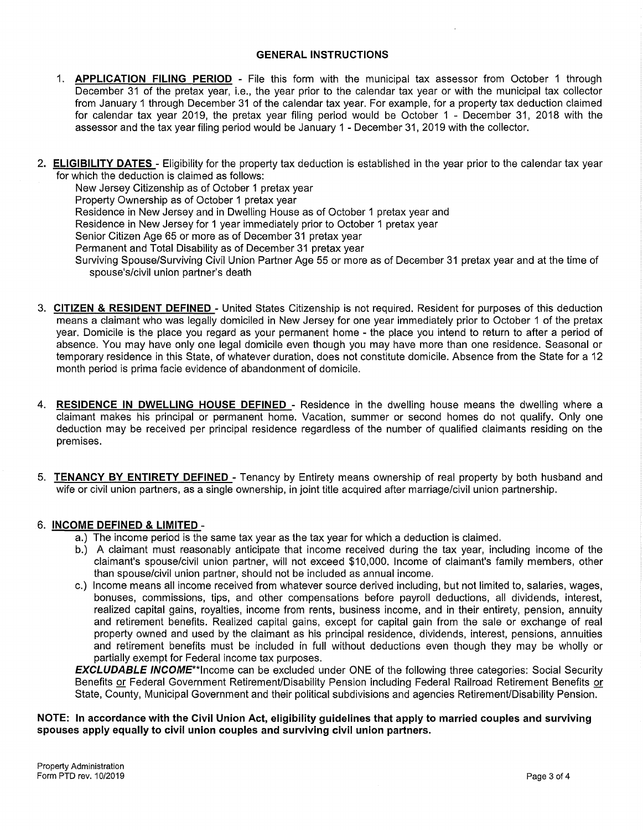#### **GENERAL INSTRUCTIONS**

- 1. **APPLICATION FILING PERIOD**  File this form with the municipal tax assessor from October 1 through December 31 of the pretax year, i.e., the year prior to the calendar tax year or with the municipal tax collector from January 1 through December 31 of the calendar tax year. For example, for a property tax deduction claimed for calendar tax year 2019, the pretax year filing period would be October 1 - December 31, 2018 with the assessor and the tax year filing period would be January 1 - December 31, 2019 with the collector.
- 2. **ELIGIBILITY DATES**  Eligibility for the property tax deduction is established in the year prior to the calendar tax year for which the deduction is claimed as follows:

New Jersey Citizenship as of October 1 pretax year Property Ownership as of October 1 pretax year Residence in New Jersey and in Dwelling House as of October 1 pretax year and Residence in New Jersey for 1 year immediately prior to October 1 pretax year Senior Citizen Age 65 or more as of December 31 pretax year Permanent and Total Disability as of December 31 pretax year Surviving Spouse/Surviving Civil Union Partner Age 55 or more as of December 31 pretax year and at the time of spouse's/civil union partner's death

- 3. **CITIZEN & RESIDENT DEFINED**  United States Citizenship is not required. Resident for purposes of this deduction means a claimant who was legally domiciled in New Jersey for one year immediately prior to October 1 of the pretax year. Domicile is the place you regard as your permanent home - the place you intend to return to after a period of absence. You may have only one legal domicile even though you may have more than one residence. Seasonal or temporary residence in this State, of whatever duration, does not constitute domicile. Absence from the State for a 12 month period is prima facie evidence of abandonment of domicile.
- 4. **RESIDENCE IN DWELLING HOUSE DEFINED**  Residence in the dwelling house means the dwelling where a claimant makes his principal or permanent home. Vacation, summer or second homes do not qualify. Only one deduction may be received per principal residence regardless of the number of qualified claimants residing on the premises.
- 5. **TENANCY BY ENTIRETY DEFINED**  Tenancy by Entirety means ownership of real property by both husband and wife or civil union partners, as a single ownership, in joint title acquired after marriage/civil union partnership.

# 6. **INCOME DEFINED & LIMITED** -

- a.) The income period is the same tax year as the tax year for which a deduction is claimed.
- b.) A claimant must reasonably anticipate that income received during the tax year, including income of the claimant's spouse/civil union partner, will not exceed \$10,000. Income of claimant's family members, other than spouse/civil union partner, should not be included as annual income.
- c.) Income means all income received from whatever source derived including, but not limited to, salaries, wages, bonuses, commissions, tips, and other compensations before payroll deductions, all dividends, interest, realized capital gains, royalties, income from rents, business income, and in their entirety, pension, annuity and retirement benefits. Realized capital gains, except for capital gain from the sale or exchange of real property owned and used by the claimant as his principal residence, dividends, interest, pensions, annuities and retirement benefits must be included in full without deductions even though they may be wholly or partially exempt for Federal income tax purposes.

**EXCLUDABLE INCOME"\*lncome** can be excluded under ONE of the following three categories: Social Security Benefits or Federal Government Retirement/Disability Pension including Federal Railroad Retirement Benefits or State, County, Municipal Government and their political subdivisions and agencies Retirement/Disability Pension.

#### **NOTE: In accordance with the Civil Union Act, eligibility guidelines that apply to married couples and surviving spouses apply equally to civil union couples and surviving civil union partners.**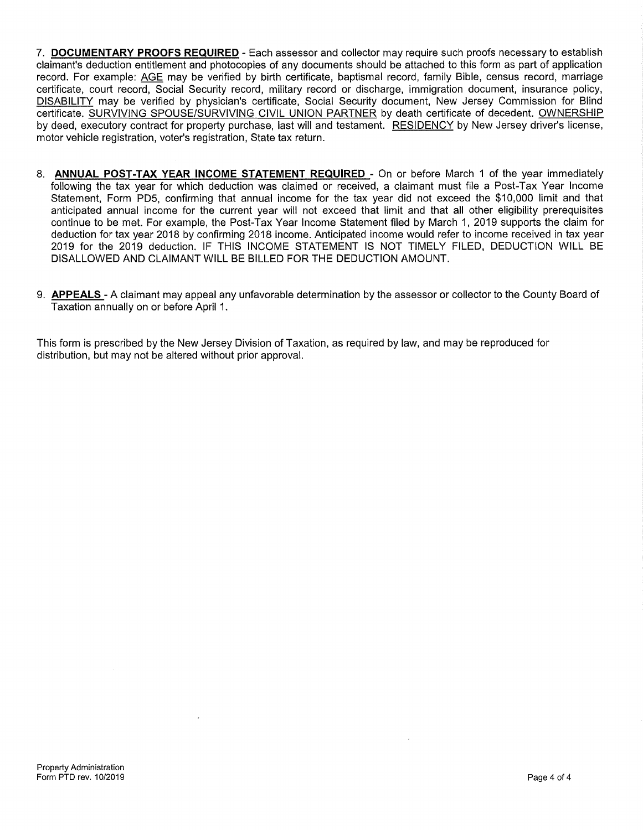- 7. **DOCUMENTARY PROOFS REQUIRED**  Each assessor and collector may require such proofs necessary to establish claimant's deduction entitlement and photocopies of any documents should be attached to this form as part of application record. For example: AGE may be verified by birth certificate, baptismal record, family Bible, census record, marriage certificate, court record, Social Security record, military record or discharge, immigration document, insurance policy, DISABILITY may be verified by physician's certificate, Social Security document, New Jersey Commission for Blind certificate. SURVIVING SPOUSE/SURVIVING CIVIL UNION PARTNER by death certificate of decedent. OWNERSHIP by deed, executory contract for property purchase, last will and testament. RESIDENCY by New Jersey driver's license, motor vehicle registration, voter's registration, State tax return.
- 8. **ANNUAL POST-TAX YEAR INCOME STATEMENT REQUIRED**  On or before March 1 of the year immediately following the tax year for which deduction was claimed or received, a claimant must file a Post-Tax Year Income Statement, Form PD5, confirming that annual income for the tax year did not exceed the \$10,000 limit and that anticipated annual income for the current year will not exceed that limit and that all other eligibility prerequisites continue to be met. For example, the Post-Tax Year Income Statement filed by March 1, 2019 supports the claim for deduction for tax year 2018 by confirming 2018 income. Anticipated income would refer to income received in tax year 2019 for the 2019 deduction. IF THIS INCOME STATEMENT IS NOT TIMELY FILED, DEDUCTION WILL BE DISALLOWED AND CLAIMANT WILL BE BILLED FOR THE DEDUCTION AMOUNT.
- 9. **APPEALS**  A claimant may appeal any unfavorable determination by the assessor or collector to the County Board of Taxation annually on or before April 1.

This form is prescribed by the New Jersey Division of Taxation, as required by law, and may be reproduced for distribution, but may not be altered without prior approval.